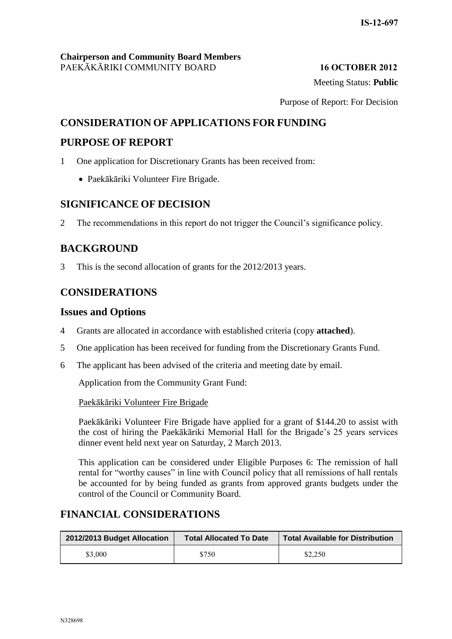Meeting Status: **Public**

Purpose of Report: For Decision

## **CONSIDERATION OF APPLICATIONS FOR FUNDING**

#### **PURPOSE OF REPORT**

- 1 One application for Discretionary Grants has been received from:
	- Paekākāriki Volunteer Fire Brigade.

## **SIGNIFICANCE OF DECISION**

2 The recommendations in this report do not trigger the Council's significance policy.

## **BACKGROUND**

3 This is the second allocation of grants for the 2012/2013 years.

## **CONSIDERATIONS**

### **Issues and Options**

- 4 Grants are allocated in accordance with established criteria (copy **attached**).
- 5 One application has been received for funding from the Discretionary Grants Fund.
- 6 The applicant has been advised of the criteria and meeting date by email.

Application from the Community Grant Fund:

#### Paekākāriki Volunteer Fire Brigade

Paekākāriki Volunteer Fire Brigade have applied for a grant of \$144.20 to assist with the cost of hiring the Paekākāriki Memorial Hall for the Brigade's 25 years services dinner event held next year on Saturday, 2 March 2013.

This application can be considered under Eligible Purposes 6: The remission of hall rental for "worthy causes" in line with Council policy that all remissions of hall rentals be accounted for by being funded as grants from approved grants budgets under the control of the Council or Community Board.

## **FINANCIAL CONSIDERATIONS**

| 2012/2013 Budget Allocation | <b>Total Allocated To Date</b> | <b>Total Available for Distribution</b> |
|-----------------------------|--------------------------------|-----------------------------------------|
| \$3,000                     | \$750                          | \$2,250                                 |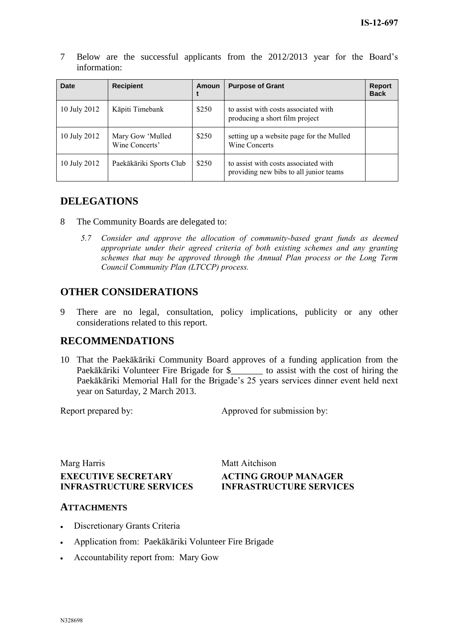7 Below are the successful applicants from the 2012/2013 year for the Board's information:

| Date         | <b>Recipient</b>                   | Amoun | <b>Purpose of Grant</b>                                                        | <b>Report</b><br><b>Back</b> |
|--------------|------------------------------------|-------|--------------------------------------------------------------------------------|------------------------------|
| 10 July 2012 | Kāpiti Timebank                    | \$250 | to assist with costs associated with<br>producing a short film project         |                              |
| 10 July 2012 | Mary Gow 'Mulled<br>Wine Concerts' | \$250 | setting up a website page for the Mulled<br>Wine Concerts                      |                              |
| 10 July 2012 | Paekākāriki Sports Club            | \$250 | to assist with costs associated with<br>providing new bibs to all junior teams |                              |

## **DELEGATIONS**

- 8 The Community Boards are delegated to:
	- *5.7 Consider and approve the allocation of community-based grant funds as deemed appropriate under their agreed criteria of both existing schemes and any granting schemes that may be approved through the Annual Plan process or the Long Term Council Community Plan (LTCCP) process.*

## **OTHER CONSIDERATIONS**

9 There are no legal, consultation, policy implications, publicity or any other considerations related to this report.

## **RECOMMENDATIONS**

10 That the Paekākāriki Community Board approves of a funding application from the Paekākāriki Volunteer Fire Brigade for \$\_\_\_\_\_\_\_ to assist with the cost of hiring the Paekākāriki Memorial Hall for the Brigade's 25 years services dinner event held next year on Saturday, 2 March 2013.

Report prepared by: Approved for submission by:

Marg Harris Matt Aitchison **EXECUTIVE SECRETARY INFRASTRUCTURE SERVICES**

# **ACTING GROUP MANAGER INFRASTRUCTURE SERVICES**

#### **ATTACHMENTS**

- Discretionary Grants Criteria
- Application from: Paekākāriki Volunteer Fire Brigade
- Accountability report from: Mary Gow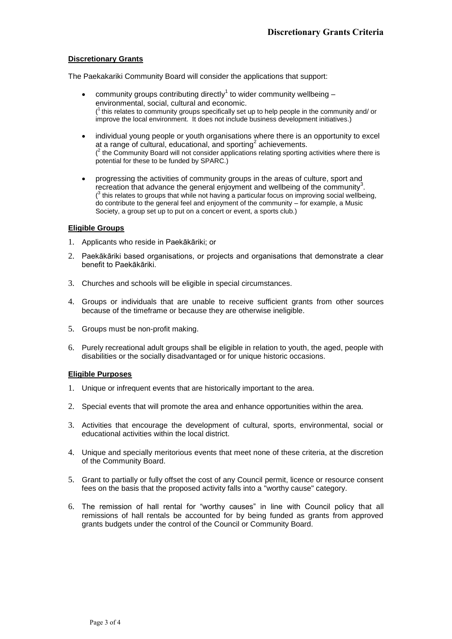#### **Discretionary Grants**

The Paekakariki Community Board will consider the applications that support:

- community groups contributing directly<sup>1</sup> to wider community wellbeing  $$ environmental, social, cultural and economic.  $(1)$  this relates to community groups specifically set up to help people in the community and/ or improve the local environment. It does not include business development initiatives.)
- individual young people or youth organisations where there is an opportunity to excel at a range of cultural, educational, and sporting<sup>2</sup> achievements.  $\binom{2}{1}$  the Community Board will not consider applications relating sporting activities where there is potential for these to be funded by SPARC.)
- progressing the activities of community groups in the areas of culture, sport and recreation that advance the general enjoyment and wellbeing of the community<sup>3</sup>.  $(3)$  this relates to groups that while not having a particular focus on improving social wellbeing, do contribute to the general feel and enjoyment of the community – for example, a Music Society, a group set up to put on a concert or event, a sports club.)

#### **Eligible Groups**

- 1. Applicants who reside in Paekākāriki; or
- 2. Paekākāriki based organisations, or projects and organisations that demonstrate a clear benefit to Paekākāriki.
- 3. Churches and schools will be eligible in special circumstances.
- 4. Groups or individuals that are unable to receive sufficient grants from other sources because of the timeframe or because they are otherwise ineligible.
- 5. Groups must be non-profit making.
- 6. Purely recreational adult groups shall be eligible in relation to youth, the aged, people with disabilities or the socially disadvantaged or for unique historic occasions.

#### **Eligible Purposes**

- 1. Unique or infrequent events that are historically important to the area.
- 2. Special events that will promote the area and enhance opportunities within the area.
- 3. Activities that encourage the development of cultural, sports, environmental, social or educational activities within the local district.
- 4. Unique and specially meritorious events that meet none of these criteria, at the discretion of the Community Board.
- 5. Grant to partially or fully offset the cost of any Council permit, licence or resource consent fees on the basis that the proposed activity falls into a "worthy cause" category.
- 6. The remission of hall rental for "worthy causes" in line with Council policy that all remissions of hall rentals be accounted for by being funded as grants from approved grants budgets under the control of the Council or Community Board.